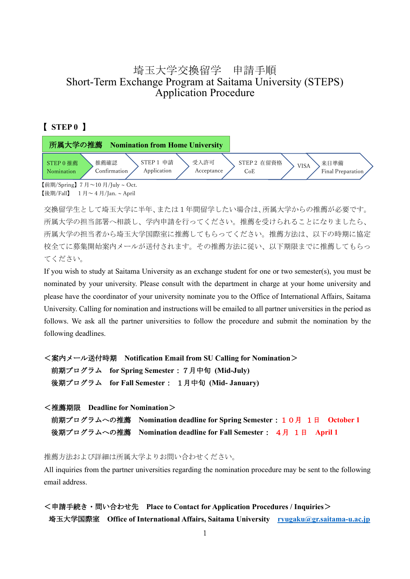# 埼玉大学交換留学 申請手順 Short-Term Exchange Program at Saitama University (STEPS) Application Procedure

### 【 **STEP 0** 】



【後期/Fall】  $1 \nexists -4 \nexists$ /Jan. ~ April

交換留学生として埼玉大学に半年、または1年間留学したい場合は、所属大学からの推薦が必要です。 所属大学の担当部署へ相談し、学内申請を行ってください。推薦を受けられることになりましたら、 所属大学の担当者から埼玉大学国際室に推薦してもらってください。推薦方法は、以下の時期に協定 校全てに募集開始案内メールが送付されます。その推薦方法に従い、以下期限までに推薦してもらっ てください。

If you wish to study at Saitama University as an exchange student for one or two semester(s), you must be nominated by your university. Please consult with the department in charge at your home university and please have the coordinator of your university nominate you to the Office of International Affairs, Saitama University. Calling for nomination and instructions will be emailed to all partner universities in the period as follows. We ask all the partner universities to follow the procedure and submit the nomination by the following deadlines.

<案内メール送付時期 **Notification Email from SU Calling for Nomination**> 前期プログラム **for Spring Semester**:7月中旬 **(Mid-July)** 後期プログラム **for Fall Semester**: 1月中旬 **(Mid- January)**

<推薦期限 **Deadline for Nomination**> 前期プログラムへの推薦 **Nomination deadline for Spring Semester**:10月 1日 **October 1** 後期プログラムへの推薦 **Nomination deadline for Fall Semester**: 4月 1日 **April 1**

推薦方法および詳細は所属大学よりお問い合わせください。

All inquiries from the partner universities regarding the nomination procedure may be sent to the following email address.

<申請手続き・問い合わせ先 **Place to Contact for Application Procedures / Inquiries**> 埼玉大学国際室 **Office of International Affairs, Saitama University [ryugaku@gr.saitama-u.ac.jp](mailto:ryugaku@gr.saitama-u.ac.jp)**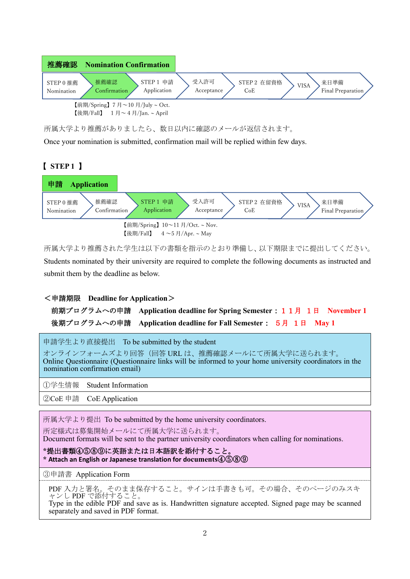

所属大学より推薦がありましたら、数日以内に確認のメールが返信されます。

Once your nomination is submitted, confirmation mail will be replied within few days.

## 【 **STEP 1** 】



所属大学より推薦された学生は以下の書類を指示のとおり準備し、以下期限までに提出してください。 Students nominated by their university are required to complete the following documents as instructed and submit them by the deadline as below.

#### <申請期限 **Deadline for Application**>

前期プログラムへの申請 **Application deadline for Spring Semester**:11月 1日 **November 1** 後期プログラムへの申請 **Application deadline for Fall Semester**: 5月 1日 **May 1**

申請学生より直接提出 To be submitted by the student

オンラインフォームズより回答(回答 URL は、推薦確認メールにて所属大学に送られます。 Online Questionnaire (Questionnaire links will be informed to your home university coordinators in the nomination confirmation email)

①学生情報 Student Information

②CoE 申請 CoE Application

所属大学より提出 To be submitted by the home university coordinators.

所定様式は募集開始メールにて所属大学に送られます。

Document formats will be sent to the partner university coordinators when calling for nominations.

**\***提出書類④⑤⑧⑨に英語または日本語訳を添付すること。 **\* Attach an English or Japanese translation for documents**④⑤⑧⑨

③申請書 Application Form

PDF 入力と署名。そのまま保存すること。サインは手書きも可。その場合、そのページのみスキ ャンし PDF で添付すること。

Type in the edible PDF and save as is. Handwritten signature accepted. Signed page may be scanned separately and saved in PDF format.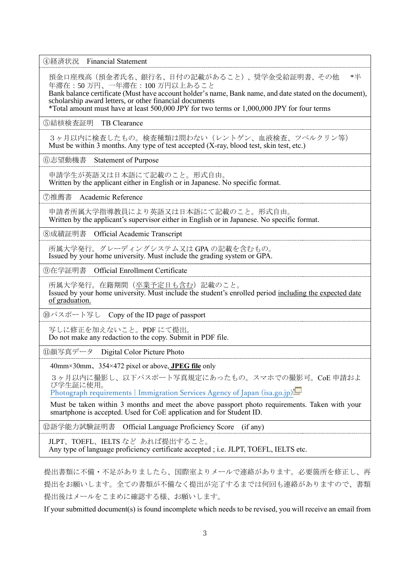④経済状況 Financial Statement 預金口座残高(預金者氏名、銀行名、日付の記載があること)、奨学金受給証明書、その他 \*半 年滞在:50 万円、一年滞在:100 万円以上あること Bank balance certificate (Must have account holder's name, Bank name, and date stated on the document), scholarship award letters, or other financial documents \*Total amount must have at least 500,000 JPY for two terms or 1,000,000 JPY for four terms ⑤結核検査証明 TB Clearance 3ヶ月以内に検査したもの。検査種類は問わない(レントゲン、血液検査、ツベルクリン等) Must be within 3 months. Any type of test accepted (X-ray, blood test, skin test, etc.) ⑥志望動機書 Statement of Purpose 申請学生が英語又は日本語にて記載のこと。形式自由。 Written by the applicant either in English or in Japanese. No specific format. ⑦推薦書 Academic Reference 申請者所属大学指導教員により英語又は日本語にて記載のこと。形式自由。 Written by the applicant's supervisor either in English or in Japanese. No specific format. ⑧成績証明書 Official Academic Transcript 所属大学発行。グレーディングシステム又は GPA の記載を含むもの。 Issued by your home university. Must include the grading system or GPA. ⑨在学証明書 Official Enrollment Certificate 所属大学発行。在籍期間(卒業予定日も含む)記載のこと。 Issued by your home university. Must include the student's enrolled period including the expected date of graduation. ⑩パスポート写し Copy of the ID page of passport 写しに修正を加えないこと。PDF にて提出。 Do not make any redaction to the copy. Submit in PDF file. ⑪顔写真データ Digital Color Picture Photo 40mm×30mm、354×472 pixel or above, **JPEG file** only 3ヶ月以内に撮影し、以下パスポート写真規定にあったもの。スマホでの撮影可。CoE 申請およ び学生証に使用。 [Photograph requirements | Immigration Services Agency of Japan \(isa.go.jp\)](https://www.isa.go.jp/en/applications/guide/photo_info.html) Must be taken within 3 months and meet the above passport photo requirements. Taken with your smartphone is accepted. Used for CoE application and for Student ID. ⑫語学能力試験証明書 Official Language Proficiency Score (if any) JLPT、TOEFL、IELTS など あれば提出すること。 Any type of language proficiency certificate accepted ; i.e. JLPT, TOEFL, IELTS etc.

提出書類に不備・不足がありましたら、国際室よりメールで連絡があります。必要箇所を修正し、再 提出をお願いします。全ての書類が不備なく提出が完了するまでは何回も連絡がありますので、書類 提出後はメールをこまめに確認する様、お願いします。

If your submitted document(s) is found incomplete which needs to be revised, you will receive an email from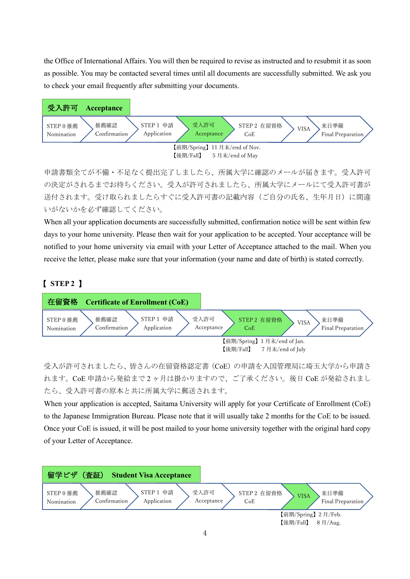the Office of International Affairs. You will then be required to revise as instructed and to resubmit it as soon as possible. You may be contacted several times until all documents are successfully submitted. We ask you to check your email frequently after submitting your documents.



申請書類全てが不備・不足なく提出完了しましたら、所属大学に確認のメールが届きます。受入許可 の決定がされるまでお待ちください。受入が許可されましたら、所属大学にメールにて受入許可書が 送付されます。受け取られましたらすぐに受入許可書の記載内容(ご自分の氏名、生年月日)に間違 いがないかを必ず確認してください。

When all your application documents are successfully submitted, confirmation notice will be sent within few days to your home university. Please then wait for your application to be accepted. Your acceptance will be notified to your home university via email with your Letter of Acceptance attached to the mail. When you receive the letter, please make sure that your information (your name and date of birth) is stated correctly.

## 【 **STEP 2** 】



受入が許可されましたら、皆さんの在留資格認定書(CoE)の申請を入国管理局に埼玉大学から申請さ れます。CoE 申請から発給まで 2 ヶ月は掛かりますので、ご了承ください。後日 CoE が発給されまし たら、受入許可書の原本と共に所属大学に郵送されます。

When your application is accepted, Saitama University will apply for your Certificate of Enrollment (CoE) to the Japanese Immigration Bureau. Please note that it will usually take 2 months for the CoE to be issued. Once your CoE is issued, it will be post mailed to your home university together with the original hard copy of your Letter of Acceptance.